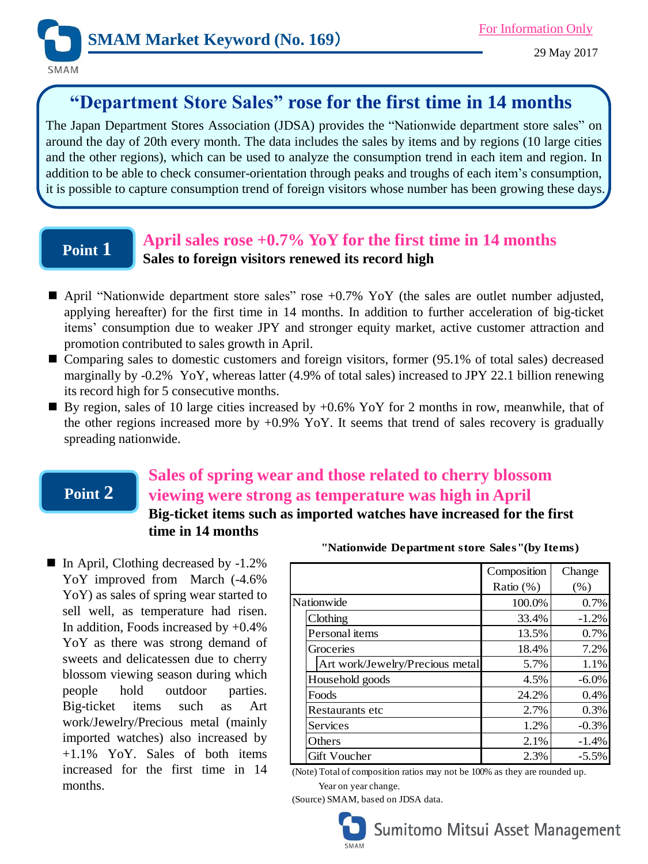

# **"Department Store Sales" rose for the first time in 14 months**

The Japan Department Stores Association (JDSA) provides the "Nationwide department store sales" on around the day of 20th every month. The data includes the sales by items and by regions (10 large cities and the other regions), which can be used to analyze the consumption trend in each item and region. In addition to be able to check consumer-orientation through peaks and troughs of each item's consumption, it is possible to capture consumption trend of foreign visitors whose number has been growing these days.

## **Point 1**

## **April sales rose +0.7% YoY for the first time in 14 months Sales to foreign visitors renewed its record high**

- April "Nationwide department store sales" rose  $+0.7\%$  YoY (the sales are outlet number adjusted, applying hereafter) for the first time in 14 months. In addition to further acceleration of big-ticket items' consumption due to weaker JPY and stronger equity market, active customer attraction and promotion contributed to sales growth in April.
- Comparing sales to domestic customers and foreign visitors, former (95.1% of total sales) decreased marginally by -0.2% YoY, whereas latter (4.9% of total sales) increased to JPY 22.1 billion renewing its record high for 5 consecutive months.
- By region, sales of 10 large cities increased by  $+0.6\%$  YoY for 2 months in row, meanwhile, that of the other regions increased more by  $+0.9\%$  YoY. It seems that trend of sales recovery is gradually spreading nationwide.

## **Point 2**

## **Sales of spring wear and those related to cherry blossom viewing were strong as temperature was high in April Big-ticket items such as imported watches have increased for the first time in 14 months**

■ In April, Clothing decreased by -1.2% YoY improved from March (-4.6% YoY) as sales of spring wear started to sell well, as temperature had risen. In addition, Foods increased by  $+0.4\%$ YoY as there was strong demand of sweets and delicatessen due to cherry blossom viewing season during which people hold outdoor parties. Big-ticket items such as Art work/Jewelry/Precious metal (mainly imported watches) also increased by +1.1% YoY. Sales of both items increased for the first time in 14 months.

|                                 | Composition  | Change   |
|---------------------------------|--------------|----------|
|                                 | Ratio $(\%)$ | (% )     |
| Nationwide                      | 100.0%       | 0.7%     |
| Clothing                        | 33.4%        | $-1.2\%$ |
| Personal items                  | 13.5%        | 0.7%     |
| Groceries                       | 18.4%        | 7.2%     |
| Art work/Jewelry/Precious metal | 5.7%         | 1.1%     |
| Household goods                 | 4.5%         | $-6.0\%$ |
| Foods                           | 24.2%        | 0.4%     |
| Restaurants etc                 | 2.7%         | 0.3%     |
| Services                        | 1.2%         | $-0.3%$  |
| Others                          | 2.1%         | $-1.4%$  |
| <b>Gift Voucher</b>             | 2.3%         | $-5.5\%$ |

**"Nationwide Department store Sales"(by Items)**

(Note) Total of composition ratios may not be 100% as they are rounded up.

Year on year change.

(Source) SMAM, based on JDSA data.